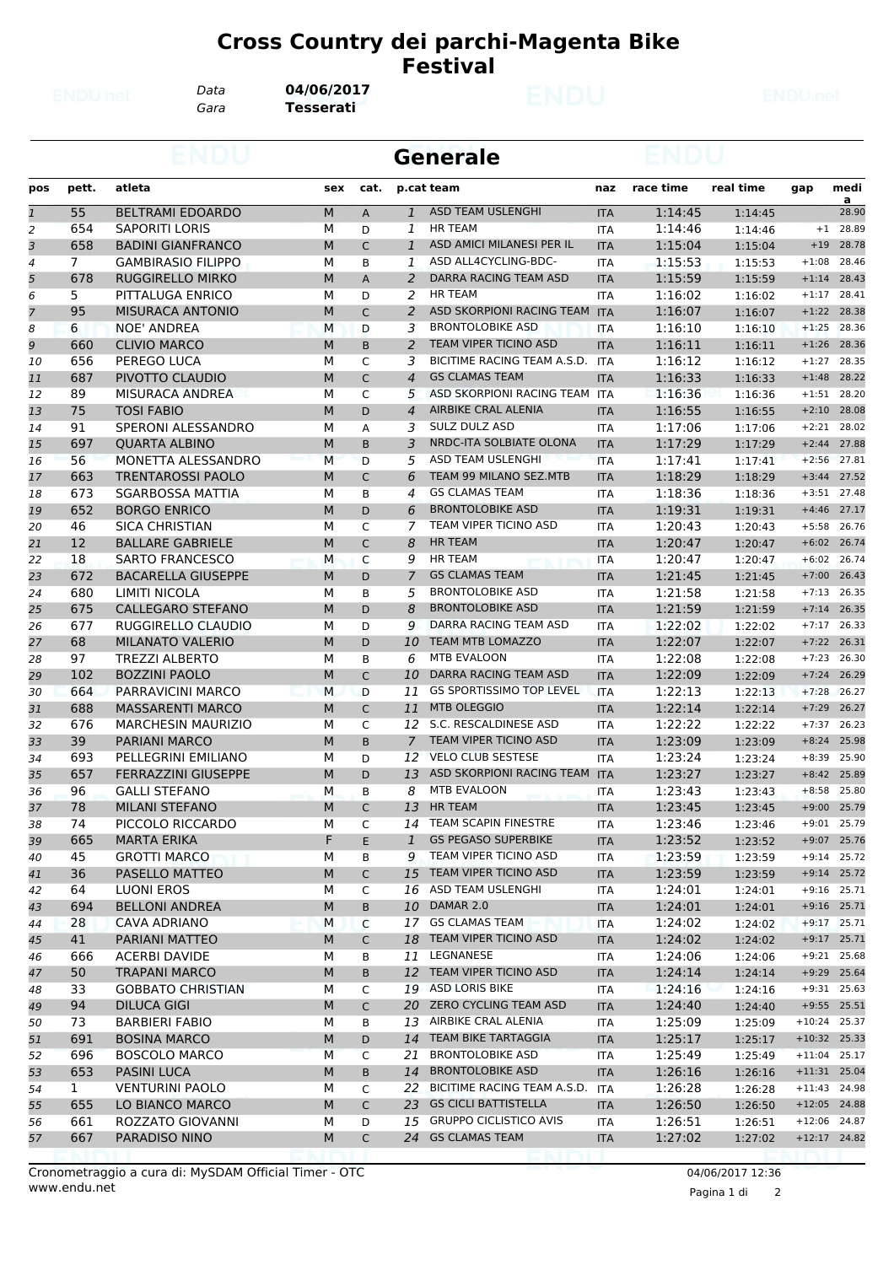## **Cross Country dei parchi-Magenta Bike Festival**

*Data* **04/06/2017**

*Gara* **Tesserati**

|                |              |                                               |        |                |                 | Generale                               |                          |                    |                    |                    |                |  |
|----------------|--------------|-----------------------------------------------|--------|----------------|-----------------|----------------------------------------|--------------------------|--------------------|--------------------|--------------------|----------------|--|
| pos            | pett.        | atleta                                        | sex    | cat.           |                 | p.cat team                             | naz                      | race time          | real time          | gap                | medi<br>a      |  |
| $\mathbf{1}$   | 55           | <b>BELTRAMI EDOARDO</b>                       | M      | $\overline{A}$ | $\mathbf{1}$    | <b>ASD TEAM USLENGHI</b>               | <b>ITA</b>               | 1:14:45            | 1:14:45            |                    | 28.90          |  |
| 2              | 654          | <b>SAPORITI LORIS</b>                         | М      | D              | 1               | <b>HR TEAM</b>                         | ITA                      | 1:14:46            | 1:14:46            | $+1$               | 28.89          |  |
| 3              | 658          | <b>BADINI GIANFRANCO</b>                      | M      | $\mathsf C$    | $\mathbf{1}$    | ASD AMICI MILANESI PER IL              | <b>ITA</b>               | 1:15:04            | 1:15:04            | $+19$              | 28.78          |  |
| 4              | $7^{\circ}$  | <b>GAMBIRASIO FILIPPO</b>                     | м      | B              | 1               | ASD ALL4CYCLING-BDC-                   | <b>ITA</b>               | 1:15:53            | 1:15:53            | $+1:08$            | 28.46          |  |
| 5              | 678          | <b>RUGGIRELLO MIRKO</b>                       | М      | A              | 2               | DARRA RACING TEAM ASD                  | <b>ITA</b>               | 1:15:59            | 1:15:59            | $+1:14$            | 28.43          |  |
| 6              | 5            | PITTALUGA ENRICO                              | м      | D              | 2               | <b>HR TEAM</b>                         | <b>ITA</b>               | 1:16:02            | 1:16:02            | $+1:17$            | 28.41          |  |
| $\overline{7}$ | 95           | <b>MISURACA ANTONIO</b>                       | M      | $\mathsf{C}$   | 2               | ASD SKORPIONI RACING TEAM ITA          |                          | 1:16:07            | 1:16:07            | $+1:22$            | 28.38          |  |
| 8              | 6            | <b>NOE' ANDREA</b>                            | M      | D              | 3               | <b>BRONTOLOBIKE ASD</b>                | <b>ITA</b>               | 1:16:10            | 1:16:10            | $+1:25$            | 28.36          |  |
| 9              | 660          | <b>CLIVIO MARCO</b>                           | M      | B              | 2               | <b>TEAM VIPER TICINO ASD</b>           | <b>ITA</b>               | 1:16:11            | 1:16:11            | $+1:26$            | 28.36          |  |
| 10             | 656          | PEREGO LUCA                                   | М      | C              | 3               | BICITIME RACING TEAM A.S.D.            | <b>ITA</b>               | 1:16:12            | 1:16:12            | $+1:27$            | 28.35          |  |
| 11             | 687          | PIVOTTO CLAUDIO                               | M      | C              | $\overline{4}$  | <b>GS CLAMAS TEAM</b>                  | <b>ITA</b>               | 1:16:33            | 1:16:33            | $+1:48$            | 28.22          |  |
| 12             | 89           | MISURACA ANDREA                               | м      | C              | 5               | ASD SKORPIONI RACING TEAM ITA          |                          | 1:16:36            | 1:16:36            | $+1:51$            | 28.20          |  |
| 13             | 75           | <b>TOSI FABIO</b>                             | M      | D              | $\overline{4}$  | AIRBIKE CRAL ALENIA                    | <b>ITA</b>               | 1:16:55            | 1:16:55            | $+2:10$            | 28.08          |  |
| 14             | 91           | SPERONI ALESSANDRO                            | М      | Α              | 3               | SULZ DULZ ASD                          | ITA                      | 1:17:06            | 1:17:06            | $+2:21$            | 28.02          |  |
| 15             | 697          | <b>QUARTA ALBINO</b>                          | M      | B              | 3               | NRDC-ITA SOLBIATE OLONA                | <b>ITA</b>               | 1:17:29            | 1:17:29            | $+2:44$            | 27.88          |  |
| 16             | 56           | MONETTA ALESSANDRO                            | M      | D              | 5               | ASD TEAM USLENGHI                      | <b>ITA</b>               | 1:17:41            | 1:17:41            | $+2:56$            | 27.81          |  |
| 17             | 663          | <b>TRENTAROSSI PAOLO</b>                      | M      | C              | 6               | TEAM 99 MILANO SEZ.MTB                 | <b>ITA</b>               | 1:18:29            | 1:18:29            | $+3:44$            | 27.52          |  |
| 18             | 673          | <b>SGARBOSSA MATTIA</b>                       | М      | B              | 4               | <b>GS CLAMAS TEAM</b>                  | <b>ITA</b>               | 1:18:36            | 1:18:36            | $+3:51$            | 27.48          |  |
| 19             | 652          | <b>BORGO ENRICO</b>                           | M      | D              | 6               | <b>BRONTOLOBIKE ASD</b>                | <b>ITA</b>               | 1:19:31            | 1:19:31            | $+4:46$            | 27.17          |  |
| 20             | 46           | <b>SICA CHRISTIAN</b>                         | М      | C              | 7               | TEAM VIPER TICINO ASD                  | ITA                      | 1:20:43            | 1:20:43            | $+5:58$            | 26.76          |  |
| 21             | 12           | <b>BALLARE GABRIELE</b>                       | M      | $\mathsf C$    | 8               | <b>HR TEAM</b>                         | <b>ITA</b>               | 1:20:47            | 1:20:47            | $+6:02$            | 26.74          |  |
| 22             | 18           | <b>SARTO FRANCESCO</b>                        | M      | C              | 9               | <b>HR TEAM</b>                         | ITA                      | 1:20:47            | 1:20:47            | $+6:02$            | 26.74          |  |
| 23             | 672          | <b>BACARELLA GIUSEPPE</b>                     | M      | D              | 7               | <b>GS CLAMAS TEAM</b>                  | <b>ITA</b>               | 1:21:45            | 1:21:45            | $+7:00$            | 26.43          |  |
| 24             | 680          | LIMITI NICOLA                                 | м      | B              | 5               | <b>BRONTOLOBIKE ASD</b>                | <b>ITA</b>               | 1:21:58            | 1:21:58            | $+7:13$            | 26.35          |  |
| 25             | 675          | <b>CALLEGARO STEFANO</b>                      | M      | D              | 8               | <b>BRONTOLOBIKE ASD</b>                | <b>ITA</b>               | 1:21:59            | 1:21:59            | $+7:14$            | 26.35          |  |
| 26             | 677          | RUGGIRELLO CLAUDIO                            | М      | D              | 9               | DARRA RACING TEAM ASD                  | ITA                      | 1:22:02            | 1:22:02            | $+7:17$            | 26.33          |  |
| 27             | 68<br>97     | <b>MILANATO VALERIO</b>                       | M<br>м | D              | 10              | <b>TEAM MTB LOMAZZO</b><br>MTB EVALOON | <b>ITA</b>               | 1:22:07<br>1:22:08 | 1:22:07            | $+7:22$            | 26.31<br>26.30 |  |
| 28             | 102          | <b>TREZZI ALBERTO</b><br><b>BOZZINI PAOLO</b> |        | B              | 6               | DARRA RACING TEAM ASD                  | ITA                      | 1:22:09            | 1:22:08            | $+7:23$            | 26.29          |  |
| 29             | 664          | PARRAVICINI MARCO                             | M<br>M | C<br>D         | 10<br>11        | <b>GS SPORTISSIMO TOP LEVEL</b>        | <b>ITA</b><br><b>ITA</b> | 1:22:13            | 1:22:09            | $+7:24$<br>$+7:28$ | 26.27          |  |
| 30             | 688          | <b>MASSARENTI MARCO</b>                       | M      | $\mathsf{C}$   | 11              | <b>MTB OLEGGIO</b>                     |                          | 1:22:14            | 1:22:13            | $+7:29$            | 26.27          |  |
| 31             | 676          | <b>MARCHESIN MAURIZIO</b>                     | М      | C              | 12              | S.C. RESCALDINESE ASD                  | <b>ITA</b>               | 1:22:22            | 1:22:14            | $+7:37$            | 26.23          |  |
| 32<br>33       | 39           | <b>PARIANI MARCO</b>                          | M      | B              | $\overline{7}$  | <b>TEAM VIPER TICINO ASD</b>           | ITA<br><b>ITA</b>        | 1:23:09            | 1:22:22<br>1:23:09 | $+8:24$            | 25.98          |  |
| 34             | 693          | PELLEGRINI EMILIANO                           | м      | D              |                 | 12 VELO CLUB SESTESE                   | <b>ITA</b>               | 1:23:24            | 1:23:24            | $+8:39$            | 25.90          |  |
| 35             | 657          | <b>FERRAZZINI GIUSEPPE</b>                    | М      | D              | 13              | ASD SKORPIONI RACING TEAM              | <b>ITA</b>               | 1:23:27            | 1:23:27            | $+8:42$            | 25.89          |  |
| 36             | 96           | <b>GALLI STEFANO</b>                          | М      | B              | 8               | MTB EVALOON                            | <b>ITA</b>               | 1:23:43            | 1:23:43            | $+8:58$            | 25.80          |  |
| 37             | 78           | <b>MILANI STEFANO</b>                         | M      | $\mathsf{C}$   | 13              | HR TEAM                                | <b>ITA</b>               | 1:23:45            | 1:23:45            |                    | $+9:00$ 25.79  |  |
|                |              |                                               |        |                |                 | 14 TEAM SCAPIN FINESTRE                |                          |                    |                    |                    | +9:01 25.79    |  |
| 38<br>39       | 74<br>665    | PICCOLO RICCARDO<br><b>MARTA ERIKA</b>        | M<br>F | C<br>E         | $\mathbf{1}$    | <b>GS PEGASO SUPERBIKE</b>             | ITA<br><b>ITA</b>        | 1:23:46<br>1:23:52 | 1:23:46<br>1:23:52 |                    | $+9:07$ 25.76  |  |
| 40             | 45           | <b>GROTTI MARCO</b>                           | М      | В              | 9               | TEAM VIPER TICINO ASD                  | ITA                      | 1:23:59            | 1:23:59            |                    | $+9:14$ 25.72  |  |
| 41             | 36           | PASELLO MATTEO                                | M      | C              |                 | 15 TEAM VIPER TICINO ASD               | <b>ITA</b>               | 1:23:59            | 1:23:59            |                    | $+9:14$ 25.72  |  |
| 42             | 64           | <b>LUONI EROS</b>                             | М      | C              |                 | 16 ASD TEAM USLENGHI                   | ITA                      | 1:24:01            | 1:24:01            |                    | $+9:16$ 25.71  |  |
| 43             | 694          | <b>BELLONI ANDREA</b>                         | М      | B              | 10 <sup>7</sup> | DAMAR 2.0                              | <b>ITA</b>               | 1:24:01            | 1:24:01            |                    | $+9:16$ 25.71  |  |
| 44             | 28           | <b>CAVA ADRIANO</b>                           | М      | C              |                 | 17 GS CLAMAS TEAM                      | <b>ITA</b>               | 1:24:02            | 1:24:02            |                    | $+9:17$ 25.71  |  |
| 45             | 41           | PARIANI MATTEO                                | М      | $\mathsf C$    |                 | 18 TEAM VIPER TICINO ASD               | <b>ITA</b>               | 1:24:02            | 1:24:02            |                    | $+9:17$ 25.71  |  |
| 46             | 666          | <b>ACERBI DAVIDE</b>                          | М      | В              |                 | 11 LEGNANESE                           | ITA                      | 1:24:06            | 1:24:06            |                    | $+9:21$ 25.68  |  |
| 47             | 50           | <b>TRAPANI MARCO</b>                          | M      | B              |                 | 12 TEAM VIPER TICINO ASD               | <b>ITA</b>               | 1:24:14            | 1:24:14            |                    | +9:29 25.64    |  |
| 48             | 33           | <b>GOBBATO CHRISTIAN</b>                      | М      | C              |                 | 19 ASD LORIS BIKE                      | ITA                      | 1:24:16            | 1:24:16            |                    | $+9:31$ 25.63  |  |
| 49             | 94           | <b>DILUCA GIGI</b>                            | М      | $\mathsf{C}$   |                 | 20 ZERO CYCLING TEAM ASD               | <b>ITA</b>               | 1:24:40            | 1:24:40            |                    | $+9:55$ 25.51  |  |
| 50             | 73           | <b>BARBIERI FABIO</b>                         | М      | В              |                 | 13 AIRBIKE CRAL ALENIA                 | ITA                      | 1:25:09            | 1:25:09            | $+10:24$ 25.37     |                |  |
| 51             | 691          | <b>BOSINA MARCO</b>                           | M      | D              |                 | 14 TEAM BIKE TARTAGGIA                 | <b>ITA</b>               | 1:25:17            | 1:25:17            | $+10:32$ 25.33     |                |  |
| 52             | 696          | <b>BOSCOLO MARCO</b>                          | М      | $\mathsf{C}$   | 21              | <b>BRONTOLOBIKE ASD</b>                | ITA                      | 1:25:49            | 1:25:49            | $+11:04$ 25.17     |                |  |
| 53             | 653          | <b>PASINI LUCA</b>                            | M      | B              | 14              | <b>BRONTOLOBIKE ASD</b>                | <b>ITA</b>               | 1:26:16            | 1:26:16            | $+11:31$ 25.04     |                |  |
| 54             | $\mathbf{1}$ | <b>VENTURINI PAOLO</b>                        | М      | C              |                 | 22 BICITIME RACING TEAM A.S.D.         | <b>ITA</b>               | 1:26:28            | 1:26:28            | $+11:43$ 24.98     |                |  |
| 55             | 655          | LO BIANCO MARCO                               | М      | $\mathsf{C}$   |                 | 23 GS CICLI BATTISTELLA                | <b>ITA</b>               | 1:26:50            | 1:26:50            | $+12:05$ 24.88     |                |  |
| 56             | 661          | ROZZATO GIOVANNI                              | М      | D              |                 | 15 GRUPPO CICLISTICO AVIS              | ITA                      | 1:26:51            | 1:26:51            | $+12:06$ 24.87     |                |  |
| 57             | 667          | PARADISO NINO                                 | M      | $\mathsf{C}$   |                 | 24 GS CLAMAS TEAM                      | <b>ITA</b>               | 1:27:02            | 1:27:02            | $+12:17$ 24.82     |                |  |
|                |              |                                               |        |                |                 |                                        |                          |                    |                    |                    |                |  |

Pagina 1 di 2